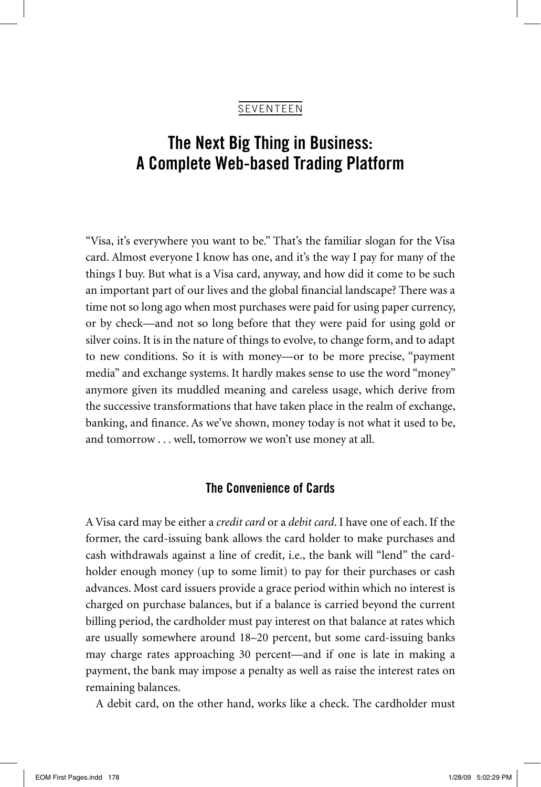# **SEVENTEEN**

# **The Next Big Thing in Business: A Complete Web-based Trading Platform**

"Visa, it's everywhere you want to be." That's the familiar slogan for the Visa card. Almost everyone I know has one, and it's the way I pay for many of the things I buy. But what is a Visa card, anyway, and how did it come to be such an important part of our lives and the global financial landscape? There was a time not so long ago when most purchases were paid for using paper currency, or by check—and not so long before that they were paid for using gold or silver coins. It is in the nature of things to evolve, to change form, and to adapt to new conditions. So it is with money—or to be more precise, "payment media" and exchange systems. It hardly makes sense to use the word "money" anymore given its muddled meaning and careless usage, which derive from the successive transformations that have taken place in the realm of exchange, banking, and finance. As we've shown, money today is not what it used to be, and tomorrow . . . well, tomorrow we won't use money at all.

### **The Convenience of Cards**

A Visa card may be either a *credit card* or a *debit card*. I have one of each. If the former, the card-issuing bank allows the card holder to make purchases and cash withdrawals against a line of credit, i.e., the bank will "lend" the cardholder enough money (up to some limit) to pay for their purchases or cash advances. Most card issuers provide a grace period within which no interest is charged on purchase balances, but if a balance is carried beyond the current billing period, the cardholder must pay interest on that balance at rates which are usually somewhere around 18–20 percent, but some card-issuing banks may charge rates approaching 30 percent—and if one is late in making a payment, the bank may impose a penalty as well as raise the interest rates on remaining balances.

A debit card, on the other hand, works like a check. The cardholder must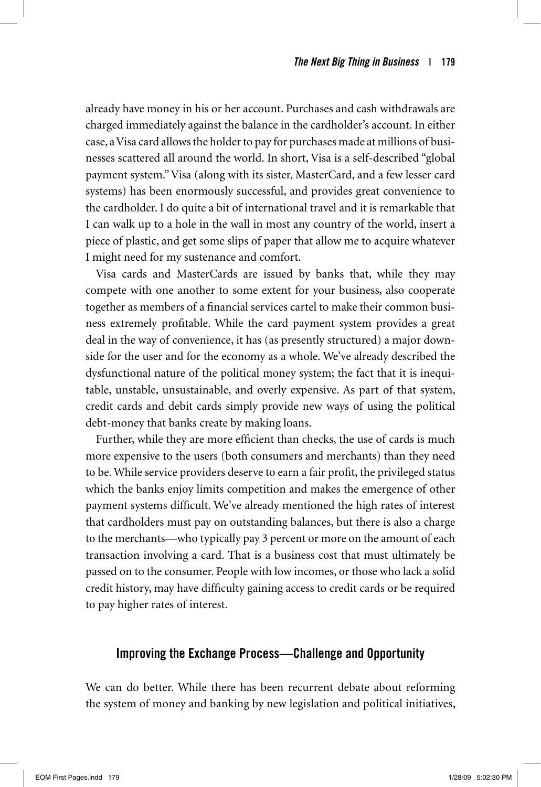already have money in his or her account. Purchases and cash withdrawals are charged immediately against the balance in the cardholder's account. In either case, a Visa card allows the holder to pay for purchases made at millions of businesses scattered all around the world. In short, Visa is a self-described "global payment system." Visa (along with its sister, MasterCard, and a few lesser card systems) has been enormously successful, and provides great convenience to the cardholder. I do quite a bit of international travel and it is remarkable that I can walk up to a hole in the wall in most any country of the world, insert a piece of plastic, and get some slips of paper that allow me to acquire whatever I might need for my sustenance and comfort.

Visa cards and MasterCards are issued by banks that, while they may compete with one another to some extent for your business, also cooperate together as members of a financial services cartel to make their common business extremely profitable. While the card payment system provides a great deal in the way of convenience, it has (as presently structured) a major downside for the user and for the economy as a whole. We've already described the dysfunctional nature of the political money system; the fact that it is inequitable, unstable, unsustainable, and overly expensive. As part of that system, credit cards and debit cards simply provide new ways of using the political debt-money that banks create by making loans.

Further, while they are more efficient than checks, the use of cards is much more expensive to the users (both consumers and merchants) than they need to be. While service providers deserve to earn a fair profit, the privileged status which the banks enjoy limits competition and makes the emergence of other payment systems difficult. We've already mentioned the high rates of interest that cardholders must pay on outstanding balances, but there is also a charge to the merchants—who typically pay 3 percent or more on the amount of each transaction involving a card. That is a business cost that must ultimately be passed on to the consumer. People with low incomes, or those who lack a solid credit history, may have difficulty gaining access to credit cards or be required to pay higher rates of interest.

#### **Improving the Exchange Process—Challenge and Opportunity**

We can do better. While there has been recurrent debate about reforming the system of money and banking by new legislation and political initiatives,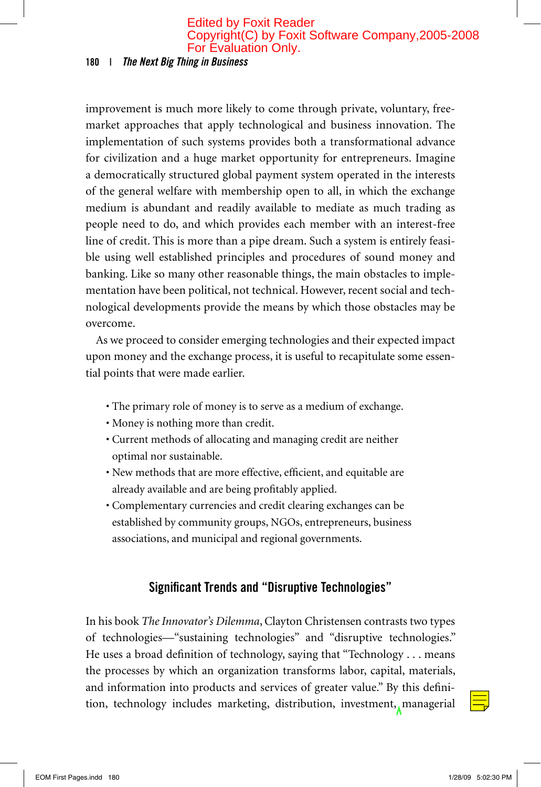**180 |** *The Next Big Thing in Business*

improvement is much more likely to come through private, voluntary, freemarket approaches that apply technological and business innovation. The implementation of such systems provides both a transformational advance for civilization and a huge market opportunity for entrepreneurs. Imagine a democratically structured global payment system operated in the interests of the general welfare with membership open to all, in which the exchange medium is abundant and readily available to mediate as much trading as people need to do, and which provides each member with an interest-free line of credit. This is more than a pipe dream. Such a system is entirely feasible using well established principles and procedures of sound money and banking. Like so many other reasonable things, the main obstacles to implementation have been political, not technical. However, recent social and technological developments provide the means by which those obstacles may be overcome.

As we proceed to consider emerging technologies and their expected impact upon money and the exchange process, it is useful to recapitulate some essential points that were made earlier.

- The primary role of money is to serve as a medium of exchange.
- Money is nothing more than credit.
- Current methods of allocating and managing credit are neither optimal nor sustainable.
- New methods that are more effective, efficient, and equitable are already available and are being profitably applied.
- Complementary currencies and credit clearing exchanges can be established by community groups, NGOs, entrepreneurs, business associations, and municipal and regional governments.

# **Significant Trends and "Disruptive Technologies"**

In his book *The Innovator's Dilemma*, Clayton Christensen contrasts two types of technologies—"sustaining technologies" and "disruptive technologies." He uses a broad definition of technology, saying that "Technology . . . means the processes by which an organization transforms labor, capital, materials, and information into products and services of greater value." By this definition, technology includes marketing, distribution, investment, managerial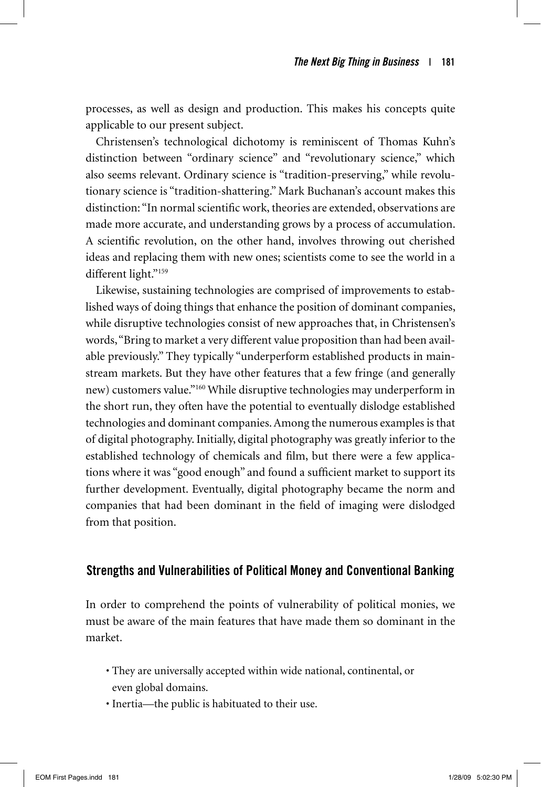processes, as well as design and production. This makes his concepts quite applicable to our present subject.

Christensen's technological dichotomy is reminiscent of Thomas Kuhn's distinction between "ordinary science" and "revolutionary science," which also seems relevant. Ordinary science is "tradition-preserving," while revolutionary science is "tradition-shattering." Mark Buchanan's account makes this distinction: "In normal scientific work, theories are extended, observations are made more accurate, and understanding grows by a process of accumulation. A scientific revolution, on the other hand, involves throwing out cherished ideas and replacing them with new ones; scientists come to see the world in a different light."<sup>159</sup>

Likewise, sustaining technologies are comprised of improvements to established ways of doing things that enhance the position of dominant companies, while disruptive technologies consist of new approaches that, in Christensen's words, "Bring to market a very different value proposition than had been available previously." They typically "underperform established products in mainstream markets. But they have other features that a few fringe (and generally new) customers value."160 While disruptive technologies may underperform in the short run, they often have the potential to eventually dislodge established technologies and dominant companies. Among the numerous examples is that of digital photography. Initially, digital photography was greatly inferior to the established technology of chemicals and film, but there were a few applications where it was "good enough" and found a sufficient market to support its further development. Eventually, digital photography became the norm and companies that had been dominant in the field of imaging were dislodged from that position.

# **Strengths and Vulnerabilities of Political Money and Conventional Banking**

In order to comprehend the points of vulnerability of political monies, we must be aware of the main features that have made them so dominant in the market.

- They are universally accepted within wide national, continental, or even global domains.
- Inertia—the public is habituated to their use.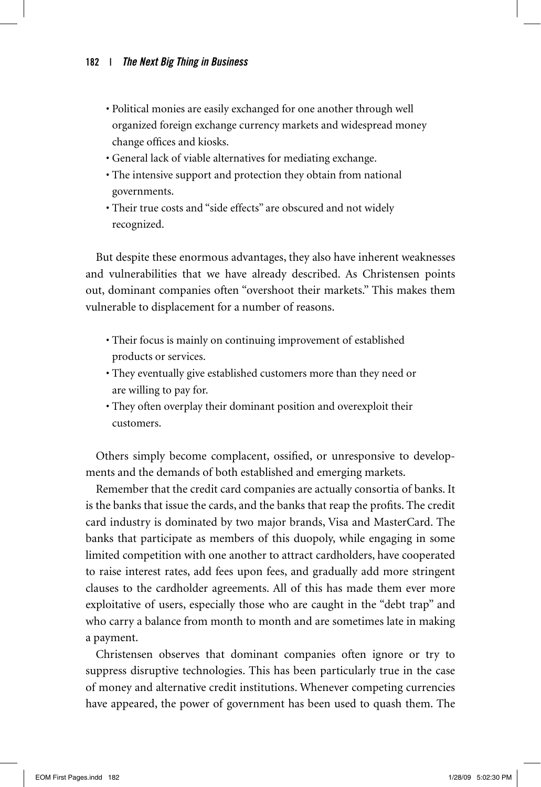- Political monies are easily exchanged for one another through well organized foreign exchange currency markets and widespread money change offices and kiosks.
- General lack of viable alternatives for mediating exchange.
- The intensive support and protection they obtain from national governments.
- Their true costs and "side effects" are obscured and not widely recognized.

But despite these enormous advantages, they also have inherent weaknesses and vulnerabilities that we have already described. As Christensen points out, dominant companies often "overshoot their markets." This makes them vulnerable to displacement for a number of reasons.

- Their focus is mainly on continuing improvement of established products or services.
- They eventually give established customers more than they need or are willing to pay for.
- They often overplay their dominant position and overexploit their customers.

Others simply become complacent, ossified, or unresponsive to developments and the demands of both established and emerging markets.

Remember that the credit card companies are actually consortia of banks. It is the banks that issue the cards, and the banks that reap the profits. The credit card industry is dominated by two major brands, Visa and MasterCard. The banks that participate as members of this duopoly, while engaging in some limited competition with one another to attract cardholders, have cooperated to raise interest rates, add fees upon fees, and gradually add more stringent clauses to the cardholder agreements. All of this has made them ever more exploitative of users, especially those who are caught in the "debt trap" and who carry a balance from month to month and are sometimes late in making a payment.

Christensen observes that dominant companies often ignore or try to suppress disruptive technologies. This has been particularly true in the case of money and alternative credit institutions. Whenever competing currencies have appeared, the power of government has been used to quash them. The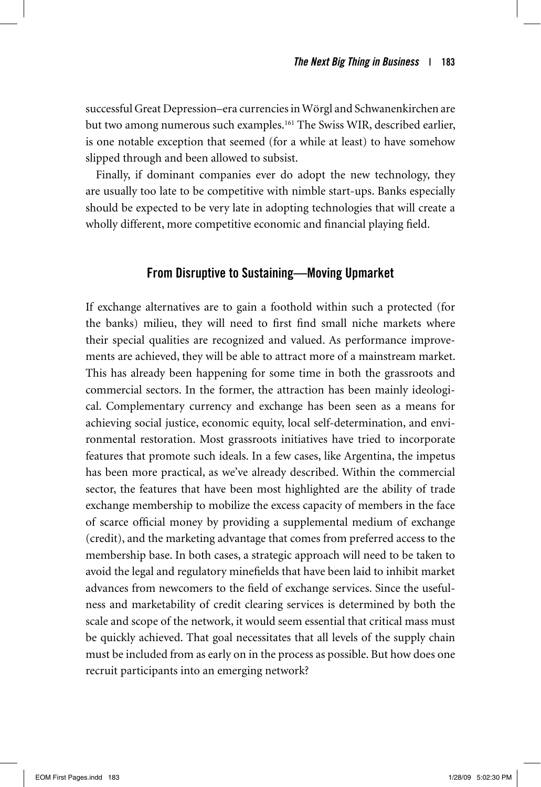successful Great Depression–era currencies in Wörgl and Schwanenkirchen are but two among numerous such examples.<sup>161</sup> The Swiss WIR, described earlier, is one notable exception that seemed (for a while at least) to have somehow slipped through and been allowed to subsist.

Finally, if dominant companies ever do adopt the new technology, they are usually too late to be competitive with nimble start-ups. Banks especially should be expected to be very late in adopting technologies that will create a wholly different, more competitive economic and financial playing field.

#### **From Disruptive to Sustaining—Moving Upmarket**

If exchange alternatives are to gain a foothold within such a protected (for the banks) milieu, they will need to first find small niche markets where their special qualities are recognized and valued. As performance improvements are achieved, they will be able to attract more of a mainstream market. This has already been happening for some time in both the grassroots and commercial sectors. In the former, the attraction has been mainly ideological. Complementary currency and exchange has been seen as a means for achieving social justice, economic equity, local self-determination, and environmental restoration. Most grassroots initiatives have tried to incorporate features that promote such ideals. In a few cases, like Argentina, the impetus has been more practical, as we've already described. Within the commercial sector, the features that have been most highlighted are the ability of trade exchange membership to mobilize the excess capacity of members in the face of scarce official money by providing a supplemental medium of exchange (credit), and the marketing advantage that comes from preferred access to the membership base. In both cases, a strategic approach will need to be taken to avoid the legal and regulatory minefields that have been laid to inhibit market advances from newcomers to the field of exchange services. Since the usefulness and marketability of credit clearing services is determined by both the scale and scope of the network, it would seem essential that critical mass must be quickly achieved. That goal necessitates that all levels of the supply chain must be included from as early on in the process as possible. But how does one recruit participants into an emerging network?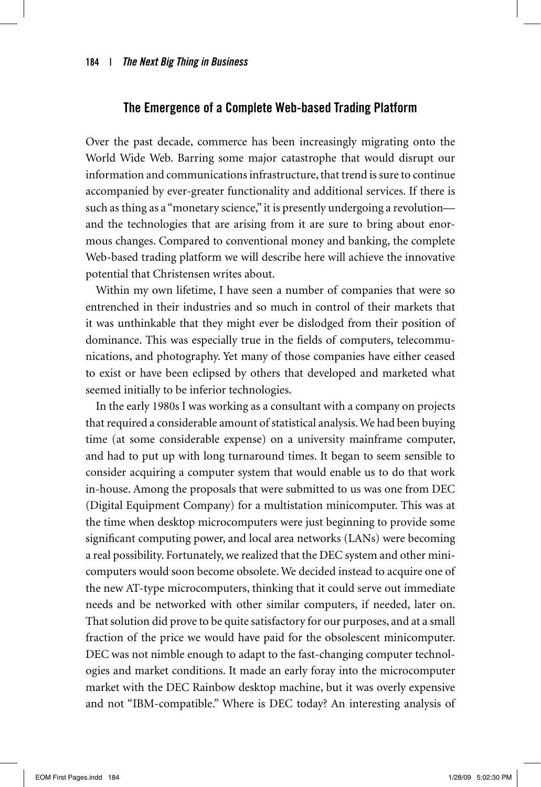#### **184 |** *The Next Big Thing in Business*

#### **The Emergence of a Complete Web-based Trading Platform**

Over the past decade, commerce has been increasingly migrating onto the World Wide Web. Barring some major catastrophe that would disrupt our information and communications infrastructure, that trend is sure to continue accompanied by ever-greater functionality and additional services. If there is such as thing as a "monetary science," it is presently undergoing a revolution and the technologies that are arising from it are sure to bring about enormous changes. Compared to conventional money and banking, the complete Web-based trading platform we will describe here will achieve the innovative potential that Christensen writes about.

Within my own lifetime, I have seen a number of companies that were so entrenched in their industries and so much in control of their markets that it was unthinkable that they might ever be dislodged from their position of dominance. This was especially true in the fields of computers, telecommunications, and photography. Yet many of those companies have either ceased to exist or have been eclipsed by others that developed and marketed what seemed initially to be inferior technologies.

In the early 1980s I was working as a consultant with a company on projects that required a considerable amount of statistical analysis. We had been buying time (at some considerable expense) on a university mainframe computer, and had to put up with long turnaround times. It began to seem sensible to consider acquiring a computer system that would enable us to do that work in-house. Among the proposals that were submitted to us was one from DEC (Digital Equipment Company) for a multistation minicomputer. This was at the time when desktop microcomputers were just beginning to provide some significant computing power, and local area networks (LANs) were becoming a real possibility. Fortunately, we realized that the DEC system and other minicomputers would soon become obsolete. We decided instead to acquire one of the new AT-type microcomputers, thinking that it could serve out immediate needs and be networked with other similar computers, if needed, later on. That solution did prove to be quite satisfactory for our purposes, and at a small fraction of the price we would have paid for the obsolescent minicomputer. DEC was not nimble enough to adapt to the fast-changing computer technologies and market conditions. It made an early foray into the microcomputer market with the DEC Rainbow desktop machine, but it was overly expensive and not "IBM-compatible." Where is DEC today? An interesting analysis of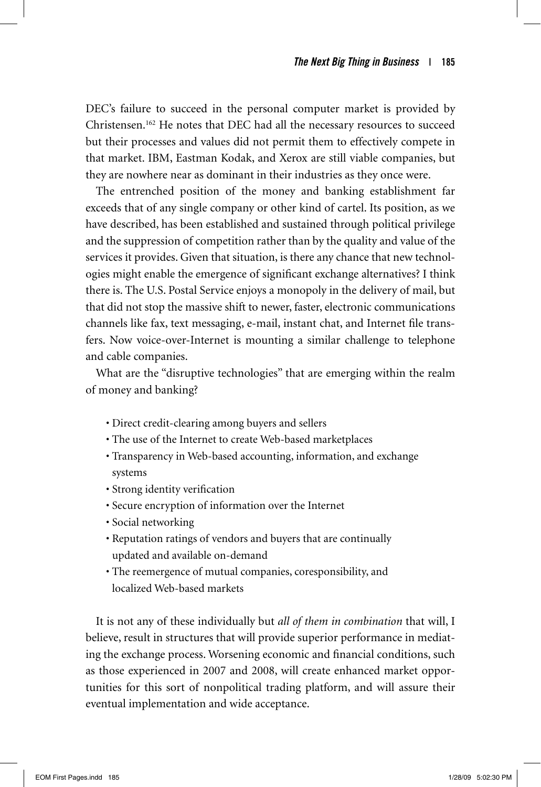DEC's failure to succeed in the personal computer market is provided by Christensen.162 He notes that DEC had all the necessary resources to succeed but their processes and values did not permit them to effectively compete in that market. IBM, Eastman Kodak, and Xerox are still viable companies, but they are nowhere near as dominant in their industries as they once were.

The entrenched position of the money and banking establishment far exceeds that of any single company or other kind of cartel. Its position, as we have described, has been established and sustained through political privilege and the suppression of competition rather than by the quality and value of the services it provides. Given that situation, is there any chance that new technologies might enable the emergence of significant exchange alternatives? I think there is. The U.S. Postal Service enjoys a monopoly in the delivery of mail, but that did not stop the massive shift to newer, faster, electronic communications channels like fax, text messaging, e-mail, instant chat, and Internet file transfers. Now voice-over-Internet is mounting a similar challenge to telephone and cable companies.

What are the "disruptive technologies" that are emerging within the realm of money and banking?

- Direct credit-clearing among buyers and sellers
- The use of the Internet to create Web-based marketplaces
- Transparency in Web-based accounting, information, and exchange systems
- Strong identity verification
- Secure encryption of information over the Internet
- Social networking
- Reputation ratings of vendors and buyers that are continually updated and available on-demand
- The reemergence of mutual companies, coresponsibility, and localized Web-based markets

It is not any of these individually but *all of them in combination* that will, I believe, result in structures that will provide superior performance in mediating the exchange process. Worsening economic and financial conditions, such as those experienced in 2007 and 2008, will create enhanced market opportunities for this sort of nonpolitical trading platform, and will assure their eventual implementation and wide acceptance.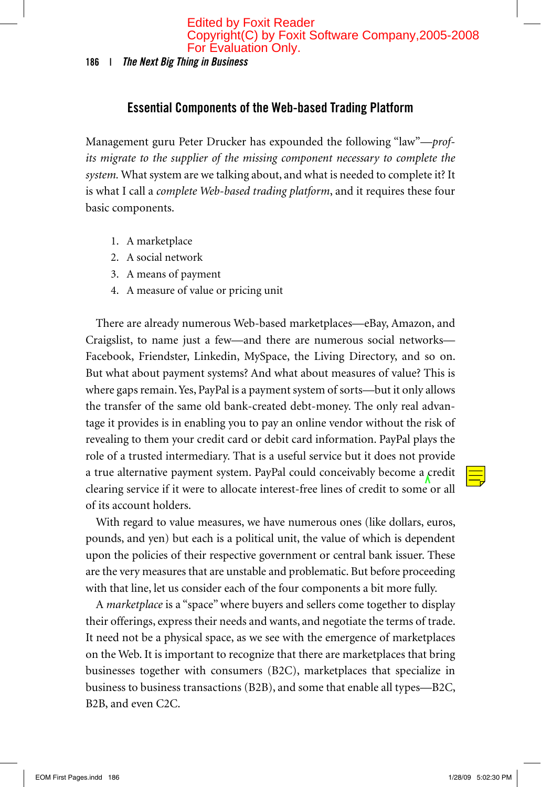#### Edited by Foxit Reader Copyright(C) by Foxit Software Company,2005-2008 For Evaluation Only.

**186 |** *The Next Big Thing in Business*

# **Essential Components of the Web-based Trading Platform**

Management guru Peter Drucker has expounded the following "law"—*profits migrate to the supplier of the missing component necessary to complete the system.* What system are we talking about, and what is needed to complete it? It is what I call a *complete Web-based trading platform*, and it requires these four basic components.

- 1. A marketplace
- 2. A social network
- 3. A means of payment
- 4. A measure of value or pricing unit

There are already numerous Web-based marketplaces—eBay, Amazon, and Craigslist, to name just a few—and there are numerous social networks— Facebook, Friendster, Linkedin, MySpace, the Living Directory, and so on. But what about payment systems? And what about measures of value? This is where gaps remain. Yes, PayPal is a payment system of sorts—but it only allows the transfer of the same old bank-created debt-money. The only real advantage it provides is in enabling you to pay an online vendor without the risk of revealing to them your credit card or debit card information. PayPal plays the role of a trusted intermediary. That is a useful service but it does not provide a true alternative payment system. PayPal could conceivably become a credit clearing service if it were to allocate interest-free lines of credit to some or all of its account holders.

With regard to value measures, we have numerous ones (like dollars, euros, pounds, and yen) but each is a political unit, the value of which is dependent upon the policies of their respective government or central bank issuer. These are the very measures that are unstable and problematic. But before proceeding with that line, let us consider each of the four components a bit more fully.

A *marketplace* is a "space" where buyers and sellers come together to display their offerings, express their needs and wants, and negotiate the terms of trade. It need not be a physical space, as we see with the emergence of marketplaces on the Web. It is important to recognize that there are marketplaces that bring businesses together with consumers (B2C), marketplaces that specialize in business to business transactions (B2B), and some that enable all types—B2C, B2B, and even C2C.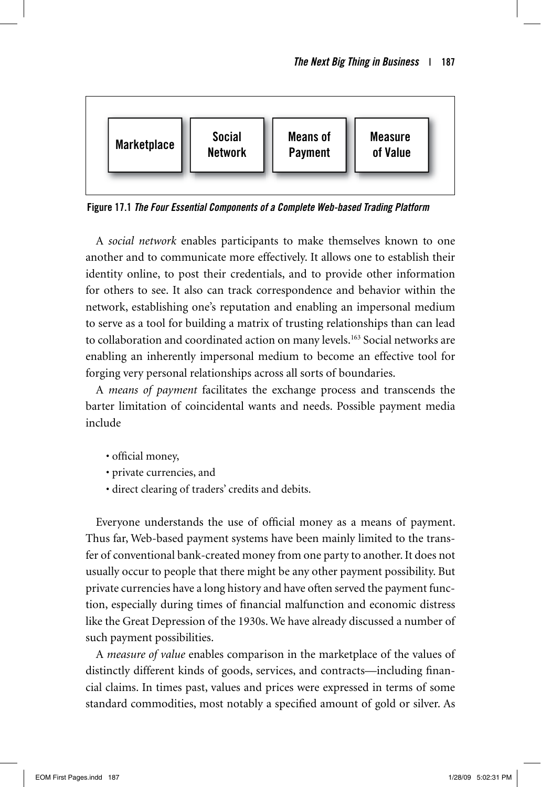

**Figure 17.1** *The Four Essential Components of a Complete Web-based Trading Platform*

A *social network* enables participants to make themselves known to one another and to communicate more effectively. It allows one to establish their identity online, to post their credentials, and to provide other information for others to see. It also can track correspondence and behavior within the network, establishing one's reputation and enabling an impersonal medium to serve as a tool for building a matrix of trusting relationships than can lead to collaboration and coordinated action on many levels.<sup>163</sup> Social networks are enabling an inherently impersonal medium to become an effective tool for forging very personal relationships across all sorts of boundaries.

A *means of payment* facilitates the exchange process and transcends the barter limitation of coincidental wants and needs. Possible payment media include

- official money,
- private currencies, and
- direct clearing of traders' credits and debits.

Everyone understands the use of official money as a means of payment. Thus far, Web-based payment systems have been mainly limited to the transfer of conventional bank-created money from one party to another. It does not usually occur to people that there might be any other payment possibility. But private currencies have a long history and have often served the payment function, especially during times of financial malfunction and economic distress like the Great Depression of the 1930s. We have already discussed a number of such payment possibilities.

A *measure of value* enables comparison in the marketplace of the values of distinctly different kinds of goods, services, and contracts—including financial claims. In times past, values and prices were expressed in terms of some standard commodities, most notably a specified amount of gold or silver. As